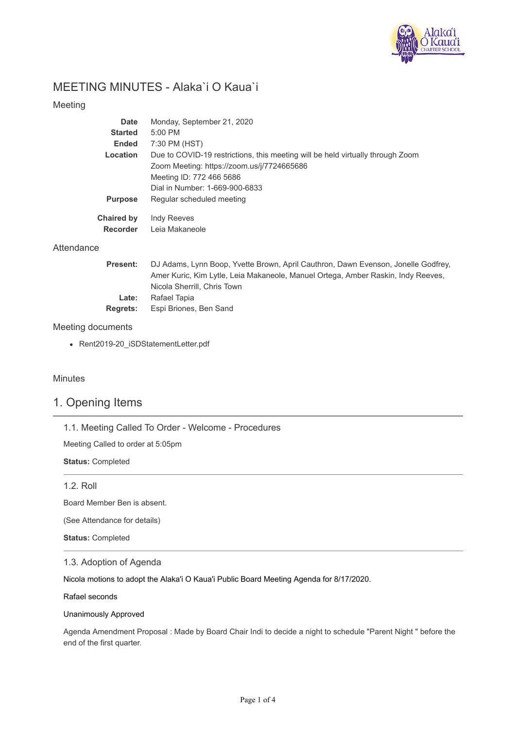

# MEETING MINUTES - Alaka`i O Kaua`i

### Meeting

| Date                                 | Monday, September 21, 2020                                                     |
|--------------------------------------|--------------------------------------------------------------------------------|
| <b>Started</b>                       | 5:00 PM                                                                        |
| <b>Ended</b>                         | 7:30 PM (HST)                                                                  |
| Location                             | Due to COVID-19 restrictions, this meeting will be held virtually through Zoom |
|                                      | Zoom Meeting: https://zoom.us/j/7724665686                                     |
|                                      | Meeting ID: 772 466 5686                                                       |
|                                      | Dial in Number: 1-669-900-6833                                                 |
| <b>Purpose</b>                       | Regular scheduled meeting                                                      |
| <b>Chaired by</b><br><b>Recorder</b> | <b>Indy Reeves</b><br>Leia Makaneole                                           |

#### **Attendance**

| DJ Adams, Lynn Boop, Yvette Brown, April Cauthron, Dawn Evenson, Jonelle Godfrey, |
|-----------------------------------------------------------------------------------|
| Amer Kuric, Kim Lytle, Leia Makaneole, Manuel Ortega, Amber Raskin, Indy Reeves,  |
| Nicola Sherrill, Chris Town                                                       |
| Rafael Tapia                                                                      |
| Espi Briones, Ben Sand                                                            |
|                                                                                   |

#### Meeting documents

Rent2019-20\_iSDStatementLetter.pdf

### Minutes

## 1. Opening Items

1.1. Meeting Called To Order - Welcome - Procedures

Meeting Called to order at 5:05pm

**Status:** Completed

#### 1.2. Roll

Board Member Ben is absent.

(See Attendance for details)

**Status:** Completed

#### 1.3. Adoption of Agenda

Nicola motions to adopt the Alaka'i O Kaua'i Public Board Meeting Agenda for 8/17/2020.

Rafael seconds

#### Unanimously Approved

Agenda Amendment Proposal : Made by Board Chair Indi to decide a night to schedule "Parent Night " before the end of the first quarter.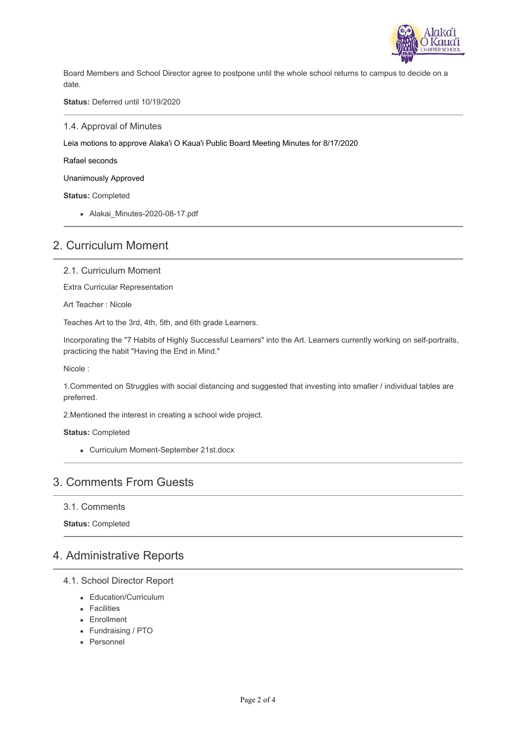

Board Members and School Director agree to postpone until the whole school returns to campus to decide on a date.

**Status:** Deferred until 10/19/2020

1.4. Approval of Minutes

Leia motions to approve Alaka'i O Kaua'i Public Board Meeting Minutes for 8/17/2020

Rafael seconds

Unanimously Approved

**Status:** Completed

Alakai\_Minutes-2020-08-17.pdf

## 2. Curriculum Moment

2.1. Curriculum Moment

Extra Curricular Representation

Art Teacher : Nicole

Teaches Art to the 3rd, 4th, 5th, and 6th grade Learners.

Incorporating the "7 Habits of Highly Successful Learners" into the Art. Learners currently working on self-portraits, practicing the habit "Having the End in Mind."

Nicole :

1.Commented on Struggles with social distancing and suggested that investing into smaller / individual tables are preferred.

2.Mentioned the interest in creating a school wide project.

**Status:** Completed

Curriculum Moment-September 21st.docx

## 3. Comments From Guests

3.1. Comments

**Status:** Completed

## 4. Administrative Reports

- 4.1. School Director Report
	- Education/Curriculum
	- Facilities
	- Enrollment
	- Fundraising / PTO
	- Personnel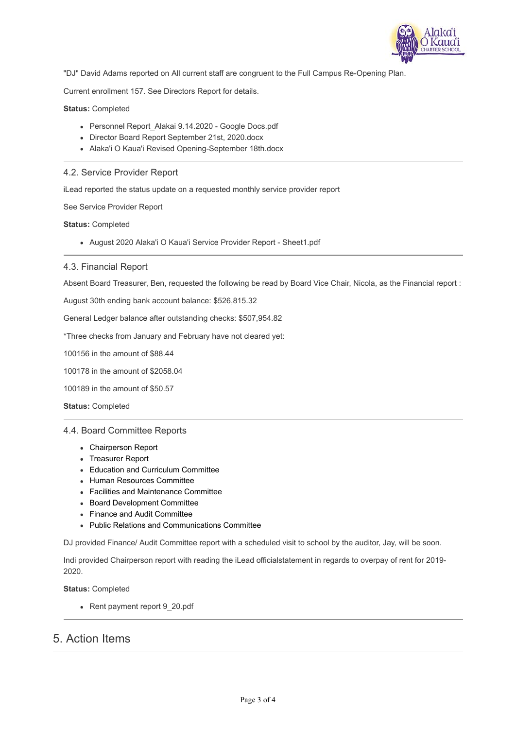

"DJ" David Adams reported on All current staff are congruent to the Full Campus Re-Opening Plan.

Current enrollment 157. See Directors Report for details.

**Status:** Completed

- Personnel Report\_Alakai 9.14.2020 Google Docs.pdf
- Director Board Report September 21st, 2020.docx
- Alaka'i O Kaua'i Revised Opening-September 18th.docx

### 4.2. Service Provider Report

iLead reported the status update on a requested monthly service provider report

See Service Provider Report

**Status:** Completed

August 2020 Alaka'i O Kaua'i Service Provider Report - Sheet1.pdf

#### 4.3. Financial Report

Absent Board Treasurer, Ben, requested the following be read by Board Vice Chair, Nicola, as the Financial report :

August 30th ending bank account balance: \$526,815.32

General Ledger balance after outstanding checks: \$507,954.82

\*Three checks from January and February have not cleared yet:

100156 in the amount of \$88.44

100178 in the amount of \$2058.04

100189 in the amount of \$50.57

**Status:** Completed

#### 4.4. Board Committee Reports

- Chairperson Report
- Treasurer Report
- Education and Curriculum Committee
- Human Resources Committee
- Facilities and Maintenance Committee
- Board Development Committee
- Finance and Audit Committee
- Public Relations and Communications Committee

DJ provided Finance/ Audit Committee report with a scheduled visit to school by the auditor, Jay, will be soon.

Indi provided Chairperson report with reading the iLead officialstatement in regards to overpay of rent for 2019- 2020.

**Status:** Completed

• Rent payment report 9\_20.pdf

## 5. Action Items